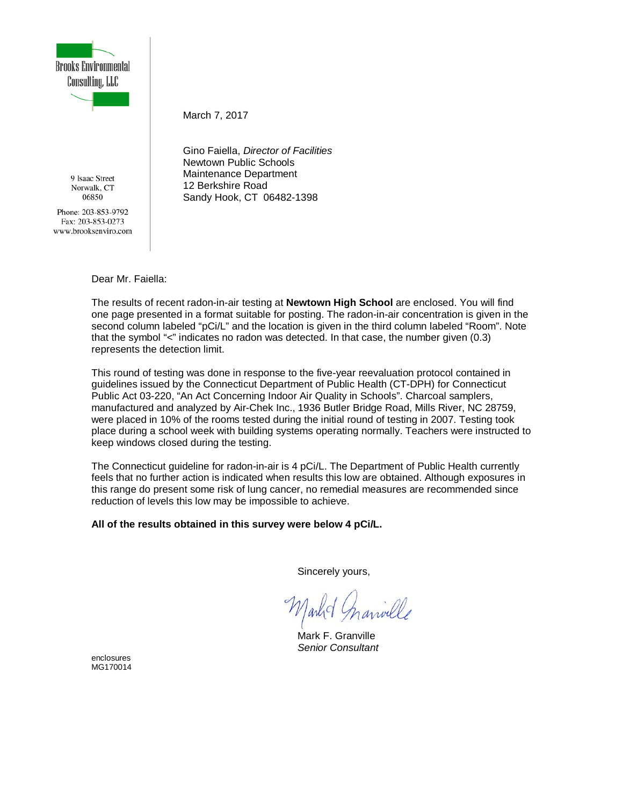

9 Isaac Street Norwalk, CT 06850

Phone: 203-853-9792 Fax: 203-853-0273 www.brooksenviro.com March 7, 2017

Gino Faiella, *Director of Facilities* Newtown Public Schools Maintenance Department 12 Berkshire Road Sandy Hook, CT 06482-1398

Dear Mr. Faiella:

The results of recent radon-in-air testing at **Newtown High School** are enclosed. You will find one page presented in a format suitable for posting. The radon-in-air concentration is given in the second column labeled "pCi/L" and the location is given in the third column labeled "Room". Note that the symbol "<" indicates no radon was detected. In that case, the number given (0.3) represents the detection limit.

This round of testing was done in response to the five-year reevaluation protocol contained in guidelines issued by the Connecticut Department of Public Health (CT-DPH) for Connecticut Public Act 03-220, "An Act Concerning Indoor Air Quality in Schools". Charcoal samplers, manufactured and analyzed by Air-Chek Inc., 1936 Butler Bridge Road, Mills River, NC 28759, were placed in 10% of the rooms tested during the initial round of testing in 2007. Testing took place during a school week with building systems operating normally. Teachers were instructed to keep windows closed during the testing.

The Connecticut guideline for radon-in-air is 4 pCi/L. The Department of Public Health currently feels that no further action is indicated when results this low are obtained. Although exposures in this range do present some risk of lung cancer, no remedial measures are recommended since reduction of levels this low may be impossible to achieve.

**All of the results obtained in this survey were below 4 pCi/L.**

Sincerely yours,

Mark F. Granville *Senior Consultant*

enclosures MG170014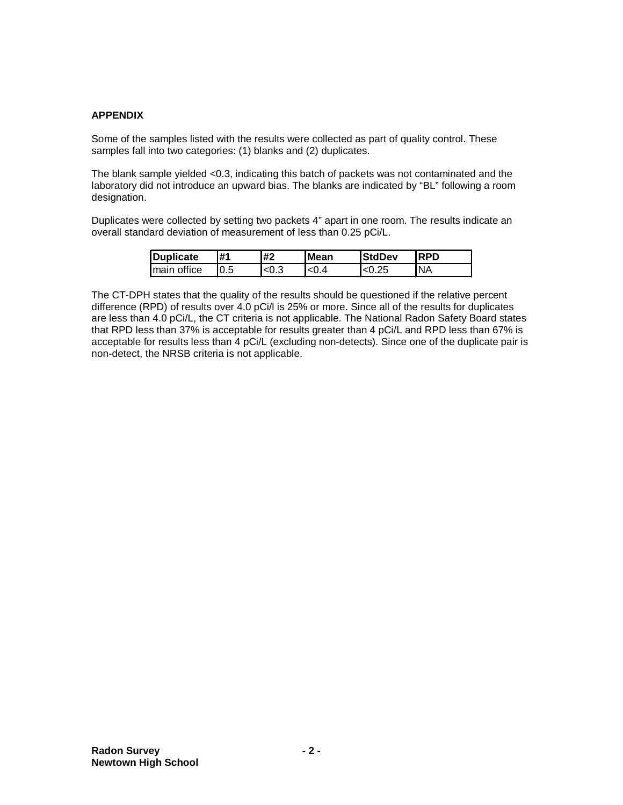## **APPENDIX**

Some of the samples listed with the results were collected as part of quality control. These samples fall into two categories: (1) blanks and (2) duplicates.

The blank sample yielded <0.3, indicating this batch of packets was not contaminated and the laboratory did not introduce an upward bias. The blanks are indicated by "BL" following a room designation.

Duplicates were collected by setting two packets 4" apart in one room. The results indicate an overall standard deviation of measurement of less than 0.25 pCi/L.

| Duplicate    | #1   | #2   | <b>Mean</b> | <b>StdDev</b> | <b>RPD</b> |
|--------------|------|------|-------------|---------------|------------|
| Imain office | 10.5 | <0.3 | < 0.4       | ረበ ጋნ         | INA        |

The CT-DPH states that the quality of the results should be questioned if the relative percent difference (RPD) of results over 4.0 pCi/l is 25% or more. Since all of the results for duplicates are less than 4.0 pCi/L, the CT criteria is not applicable. The National Radon Safety Board states that RPD less than 37% is acceptable for results greater than 4 pCi/L and RPD less than 67% is acceptable for results less than 4 pCi/L (excluding non-detects). Since one of the duplicate pair is non-detect, the NRSB criteria is not applicable.